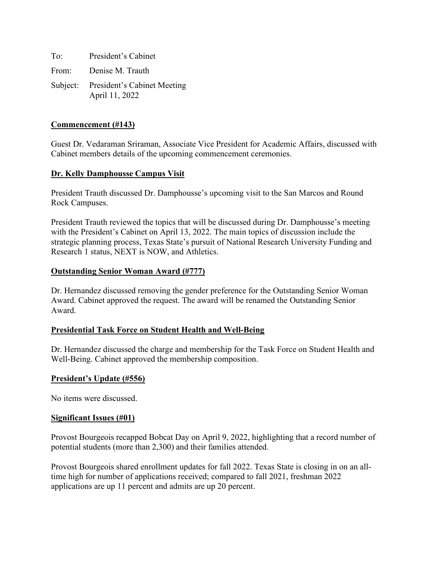To: President's Cabinet From: Denise M. Trauth Subject: President's Cabinet Meeting April 11, 2022

# **Commencement (#143)**

Guest Dr. Vedaraman Sriraman, Associate Vice President for Academic Affairs, discussed with Cabinet members details of the upcoming commencement ceremonies.

# **Dr. Kelly Damphousse Campus Visit**

President Trauth discussed Dr. Damphousse's upcoming visit to the San Marcos and Round Rock Campuses.

President Trauth reviewed the topics that will be discussed during Dr. Damphousse's meeting with the President's Cabinet on April 13, 2022. The main topics of discussion include the strategic planning process, Texas State's pursuit of National Research University Funding and Research 1 status, NEXT is NOW, and Athletics.

# **Outstanding Senior Woman Award (#777)**

Dr. Hernandez discussed removing the gender preference for the Outstanding Senior Woman Award. Cabinet approved the request. The award will be renamed the Outstanding Senior Award.

### **Presidential Task Force on Student Health and Well-Being**

Dr. Hernandez discussed the charge and membership for the Task Force on Student Health and Well-Being. Cabinet approved the membership composition.

### **President's Update (#556)**

No items were discussed.

### **Significant Issues (#01)**

Provost Bourgeois recapped Bobcat Day on April 9, 2022, highlighting that a record number of potential students (more than 2,300) and their families attended.

Provost Bourgeois shared enrollment updates for fall 2022. Texas State is closing in on an alltime high for number of applications received; compared to fall 2021, freshman 2022 applications are up 11 percent and admits are up 20 percent.